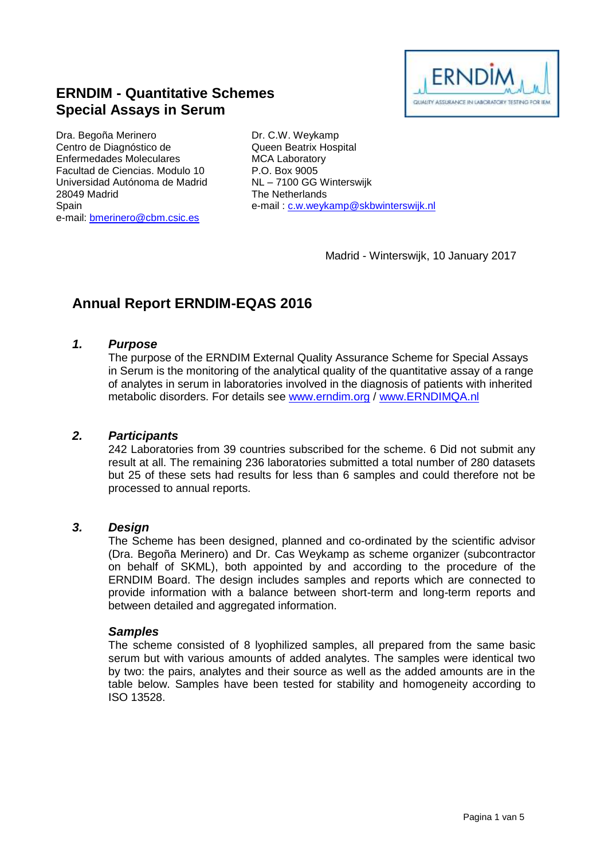

# **ERNDIM - Quantitative Schemes Special Assays in Serum**

Dra. Begoña Merinero Centro de Diagnóstico de Enfermedades Moleculares Facultad de Ciencias. Modulo 10 Universidad Autónoma de Madrid 28049 Madrid Spain e-mail: [bmerinero@cbm.csic.es](mailto:bmerinero@cbm.csic.es)

Dr. C.W. Weykamp Queen Beatrix Hospital MCA Laboratory P.O. Box 9005 NL – 7100 GG Winterswijk The Netherlands e-mail : [c.w.weykamp@skbwinterswijk.nl](mailto:c.w.weykamp@skbwinterswijk.nl)

Madrid - Winterswijk, 10 January 2017

# **Annual Report ERNDIM-EQAS 2016**

## *1. Purpose*

The purpose of the ERNDIM External Quality Assurance Scheme for Special Assays in Serum is the monitoring of the analytical quality of the quantitative assay of a range of analytes in serum in laboratories involved in the diagnosis of patients with inherited metabolic disorders. For details see [www.erndim.o](http://www.erndim.unibas.ch/)rg / [www.ERNDIMQA.nl](http://www.erndimqa.nl/)

#### *2. Participants*

242 Laboratories from 39 countries subscribed for the scheme. 6 Did not submit any result at all. The remaining 236 laboratories submitted a total number of 280 datasets but 25 of these sets had results for less than 6 samples and could therefore not be processed to annual reports.

### *3. Design*

The Scheme has been designed, planned and co-ordinated by the scientific advisor (Dra. Begoña Merinero) and Dr. Cas Weykamp as scheme organizer (subcontractor on behalf of SKML), both appointed by and according to the procedure of the ERNDIM Board. The design includes samples and reports which are connected to provide information with a balance between short-term and long-term reports and between detailed and aggregated information.

#### *Samples*

The scheme consisted of 8 lyophilized samples, all prepared from the same basic serum but with various amounts of added analytes. The samples were identical two by two: the pairs, analytes and their source as well as the added amounts are in the table below. Samples have been tested for stability and homogeneity according to ISO 13528.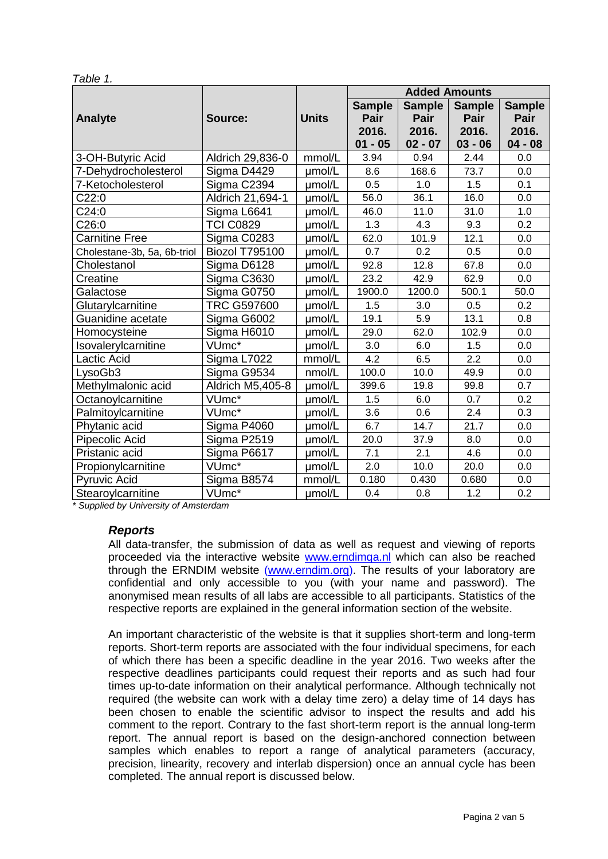| able |  |
|------|--|
|      |  |

|                             |                       |              | <b>Added Amounts</b>                        |                                             |                                             |                                             |
|-----------------------------|-----------------------|--------------|---------------------------------------------|---------------------------------------------|---------------------------------------------|---------------------------------------------|
| <b>Analyte</b>              | Source:               | <b>Units</b> | <b>Sample</b><br>Pair<br>2016.<br>$01 - 05$ | <b>Sample</b><br>Pair<br>2016.<br>$02 - 07$ | <b>Sample</b><br>Pair<br>2016.<br>$03 - 06$ | <b>Sample</b><br>Pair<br>2016.<br>$04 - 08$ |
| 3-OH-Butyric Acid           | Aldrich 29,836-0      | mmol/L       | 3.94                                        | 0.94                                        | 2.44                                        | 0.0                                         |
| 7-Dehydrocholesterol        | Sigma D4429           | umol/L       | 8.6                                         | 168.6                                       | 73.7                                        | 0.0                                         |
| 7-Ketocholesterol           | Sigma C2394           | µmol/L       | 0.5                                         | 1.0                                         | 1.5                                         | 0.1                                         |
| C22:0                       | Aldrich 21,694-1      | umol/L       | 56.0                                        | 36.1                                        | 16.0                                        | 0.0                                         |
| C24:0                       | Sigma L6641           | umol/L       | 46.0                                        | 11.0                                        | 31.0                                        | 1.0                                         |
| C26:0                       | <b>TCI C0829</b>      | umol/L       | 1.3                                         | 4.3                                         | 9.3                                         | 0.2                                         |
| <b>Carnitine Free</b>       | Sigma C0283           | umol/L       | 62.0                                        | 101.9                                       | 12.1                                        | 0.0                                         |
| Cholestane-3b, 5a, 6b-triol | <b>Biozol T795100</b> | umol/L       | 0.7                                         | 0.2                                         | 0.5                                         | 0.0                                         |
| Cholestanol                 | Sigma D6128           | umol/L       | 92.8                                        | 12.8                                        | 67.8                                        | 0.0                                         |
| Creatine                    | Sigma C3630           | umol/L       | 23.2                                        | 42.9                                        | 62.9                                        | 0.0                                         |
| Galactose                   | Sigma G0750           | µmol/L       | 1900.0                                      | 1200.0                                      | 500.1                                       | 50.0                                        |
| Glutarylcarnitine           | <b>TRC G597600</b>    | umol/L       | 1.5                                         | 3.0                                         | 0.5                                         | 0.2                                         |
| Guanidine acetate           | Sigma G6002           | µmol/L       | 19.1                                        | 5.9                                         | 13.1                                        | 0.8                                         |
| Homocysteine                | Sigma H6010           | umol/L       | 29.0                                        | 62.0                                        | 102.9                                       | 0.0                                         |
| Isovalerylcarnitine         | VUmc*                 | umol/L       | 3.0                                         | 6.0                                         | 1.5                                         | 0.0                                         |
| Lactic Acid                 | Sigma L7022           | mmol/L       | 4.2                                         | 6.5                                         | 2.2                                         | 0.0                                         |
| LysoGb3                     | Sigma G9534           | nmol/L       | 100.0                                       | 10.0                                        | 49.9                                        | 0.0                                         |
| Methylmalonic acid          | Aldrich M5,405-8      | umol/L       | 399.6                                       | 19.8                                        | 99.8                                        | 0.7                                         |
| Octanoylcarnitine           | VUmc*                 | umol/L       | 1.5                                         | 6.0                                         | 0.7                                         | 0.2                                         |
| Palmitoylcarnitine          | VUmc*                 | umol/L       | 3.6                                         | 0.6                                         | 2.4                                         | 0.3                                         |
| Phytanic acid               | Sigma P4060           | umol/L       | 6.7                                         | 14.7                                        | 21.7                                        | 0.0                                         |
| Pipecolic Acid              | Sigma P2519           | umol/L       | 20.0                                        | 37.9                                        | 8.0                                         | 0.0                                         |
| Pristanic acid              | Sigma P6617           | umol/L       | 7.1                                         | 2.1                                         | 4.6                                         | 0.0                                         |
| Propionylcarnitine          | VUmc*                 | µmol/L       | 2.0                                         | 10.0                                        | 20.0                                        | 0.0                                         |
| <b>Pyruvic Acid</b>         | Sigma B8574           | mmol/L       | 0.180                                       | 0.430                                       | 0.680                                       | 0.0                                         |
| Stearoylcarnitine           | VUmc*                 | umol/L       | 0.4                                         | 0.8                                         | 1.2                                         | 0.2                                         |

*\* Supplied by University of Amsterdam*

#### *Reports*

All data-transfer, the submission of data as well as request and viewing of reports proceeded via the interactive website [www.erndimqa.nl](http://www.erndimqa.nl/) which can also be reached through the ERNDIM website [\(www.erndim.org\)](http://www.erndim.org/). The results of your laboratory are confidential and only accessible to you (with your name and password). The anonymised mean results of all labs are accessible to all participants. Statistics of the respective reports are explained in the general information section of the website.

An important characteristic of the website is that it supplies short-term and long-term reports. Short-term reports are associated with the four individual specimens, for each of which there has been a specific deadline in the year 2016. Two weeks after the respective deadlines participants could request their reports and as such had four times up-to-date information on their analytical performance. Although technically not required (the website can work with a delay time zero) a delay time of 14 days has been chosen to enable the scientific advisor to inspect the results and add his comment to the report. Contrary to the fast short-term report is the annual long-term report. The annual report is based on the design-anchored connection between samples which enables to report a range of analytical parameters (accuracy, precision, linearity, recovery and interlab dispersion) once an annual cycle has been completed. The annual report is discussed below.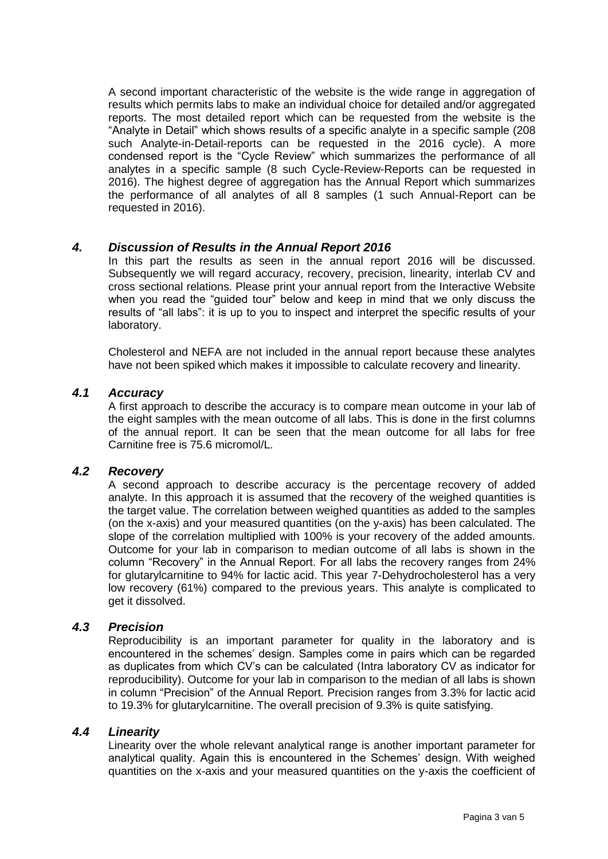A second important characteristic of the website is the wide range in aggregation of results which permits labs to make an individual choice for detailed and/or aggregated reports. The most detailed report which can be requested from the website is the "Analyte in Detail" which shows results of a specific analyte in a specific sample (208 such Analyte-in-Detail-reports can be requested in the 2016 cycle). A more condensed report is the "Cycle Review" which summarizes the performance of all analytes in a specific sample (8 such Cycle-Review-Reports can be requested in 2016). The highest degree of aggregation has the Annual Report which summarizes the performance of all analytes of all 8 samples (1 such Annual-Report can be requested in 2016).

## *4. Discussion of Results in the Annual Report 2016*

In this part the results as seen in the annual report 2016 will be discussed. Subsequently we will regard accuracy, recovery, precision, linearity, interlab CV and cross sectional relations. Please print your annual report from the Interactive Website when you read the "guided tour" below and keep in mind that we only discuss the results of "all labs": it is up to you to inspect and interpret the specific results of your laboratory.

Cholesterol and NEFA are not included in the annual report because these analytes have not been spiked which makes it impossible to calculate recovery and linearity.

## *4.1 Accuracy*

A first approach to describe the accuracy is to compare mean outcome in your lab of the eight samples with the mean outcome of all labs. This is done in the first columns of the annual report. It can be seen that the mean outcome for all labs for free Carnitine free is 75.6 micromol/L.

# *4.2 Recovery*

A second approach to describe accuracy is the percentage recovery of added analyte. In this approach it is assumed that the recovery of the weighed quantities is the target value. The correlation between weighed quantities as added to the samples (on the x-axis) and your measured quantities (on the y-axis) has been calculated. The slope of the correlation multiplied with 100% is your recovery of the added amounts. Outcome for your lab in comparison to median outcome of all labs is shown in the column "Recovery" in the Annual Report. For all labs the recovery ranges from 24% for glutarylcarnitine to 94% for lactic acid. This year 7-Dehydrocholesterol has a very low recovery (61%) compared to the previous years. This analyte is complicated to get it dissolved.

## *4.3 Precision*

Reproducibility is an important parameter for quality in the laboratory and is encountered in the schemes' design. Samples come in pairs which can be regarded as duplicates from which CV's can be calculated (Intra laboratory CV as indicator for reproducibility). Outcome for your lab in comparison to the median of all labs is shown in column "Precision" of the Annual Report. Precision ranges from 3.3% for lactic acid to 19.3% for glutarylcarnitine. The overall precision of 9.3% is quite satisfying.

# *4.4 Linearity*

Linearity over the whole relevant analytical range is another important parameter for analytical quality. Again this is encountered in the Schemes' design. With weighed quantities on the x-axis and your measured quantities on the y-axis the coefficient of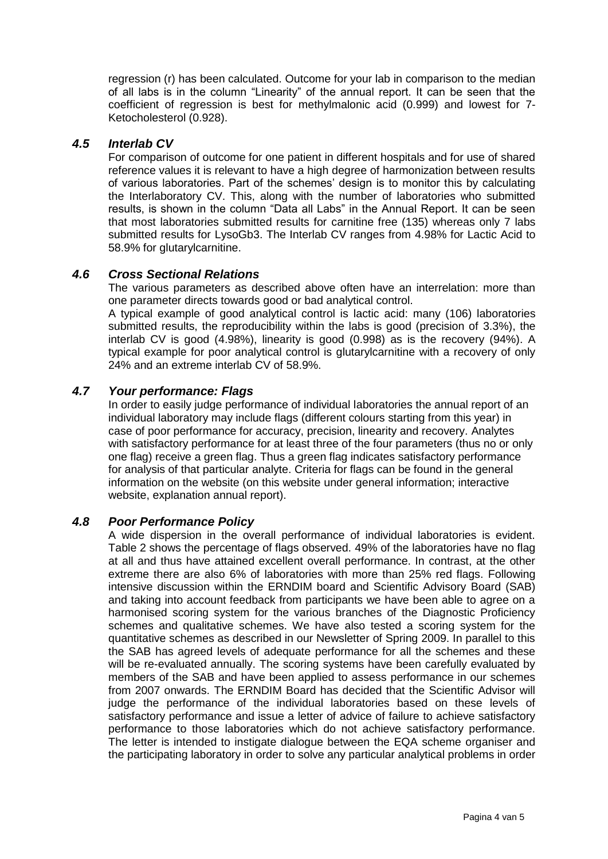regression (r) has been calculated. Outcome for your lab in comparison to the median of all labs is in the column "Linearity" of the annual report. It can be seen that the coefficient of regression is best for methylmalonic acid (0.999) and lowest for 7- Ketocholesterol (0.928).

# *4.5 Interlab CV*

For comparison of outcome for one patient in different hospitals and for use of shared reference values it is relevant to have a high degree of harmonization between results of various laboratories. Part of the schemes' design is to monitor this by calculating the Interlaboratory CV. This, along with the number of laboratories who submitted results, is shown in the column "Data all Labs" in the Annual Report. It can be seen that most laboratories submitted results for carnitine free (135) whereas only 7 labs submitted results for LysoGb3. The Interlab CV ranges from 4.98% for Lactic Acid to 58.9% for glutarylcarnitine.

# *4.6 Cross Sectional Relations*

The various parameters as described above often have an interrelation: more than one parameter directs towards good or bad analytical control.

A typical example of good analytical control is lactic acid: many (106) laboratories submitted results, the reproducibility within the labs is good (precision of 3.3%), the interlab CV is good (4.98%), linearity is good (0.998) as is the recovery (94%). A typical example for poor analytical control is glutarylcarnitine with a recovery of only 24% and an extreme interlab CV of 58.9%.

# *4.7 Your performance: Flags*

In order to easily judge performance of individual laboratories the annual report of an individual laboratory may include flags (different colours starting from this year) in case of poor performance for accuracy, precision, linearity and recovery. Analytes with satisfactory performance for at least three of the four parameters (thus no or only one flag) receive a green flag. Thus a green flag indicates satisfactory performance for analysis of that particular analyte. Criteria for flags can be found in the general information on the website (on this website under general information; interactive website, explanation annual report).

## *4.8 Poor Performance Policy*

A wide dispersion in the overall performance of individual laboratories is evident. Table 2 shows the percentage of flags observed. 49% of the laboratories have no flag at all and thus have attained excellent overall performance. In contrast, at the other extreme there are also 6% of laboratories with more than 25% red flags. Following intensive discussion within the ERNDIM board and Scientific Advisory Board (SAB) and taking into account feedback from participants we have been able to agree on a harmonised scoring system for the various branches of the Diagnostic Proficiency schemes and qualitative schemes. We have also tested a scoring system for the quantitative schemes as described in our Newsletter of Spring 2009. In parallel to this the SAB has agreed levels of adequate performance for all the schemes and these will be re-evaluated annually. The scoring systems have been carefully evaluated by members of the SAB and have been applied to assess performance in our schemes from 2007 onwards. The ERNDIM Board has decided that the Scientific Advisor will judge the performance of the individual laboratories based on these levels of satisfactory performance and issue a letter of advice of failure to achieve satisfactory performance to those laboratories which do not achieve satisfactory performance. The letter is intended to instigate dialogue between the EQA scheme organiser and the participating laboratory in order to solve any particular analytical problems in order